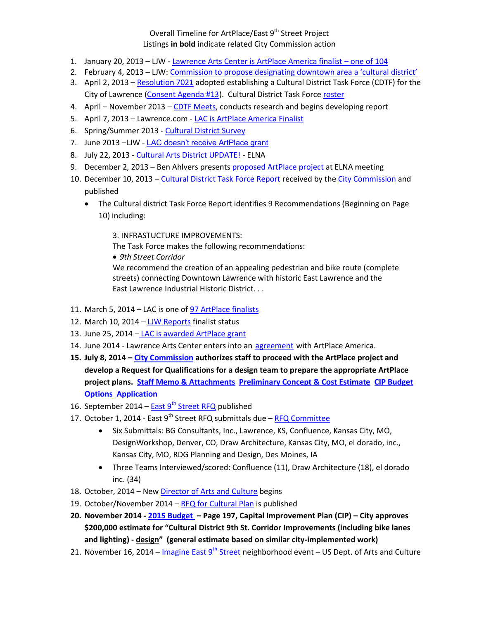## Overall Timeline for ArtPlace/East 9<sup>th</sup> Street Project Listings **in bold** indicate related City Commission action

- 1. January 20, 2013 LJW [Lawrence Arts Center is](http://www2.ljworld.com/news/2013/jan/20/arts-center-finalist-placemaking-grant/) ArtPlace America finalist one of 104
- 2. February 4, 2013 LJW: [Commission to propose designating downtown area a 'cultural](http://www2.ljworld.com/news/2013/feb/04/commission-propose-designating-downtown-area-cultu/) district'
- 3. April 2, 2013 [Resolution 7021](https://www.lawrenceks.org/assets/boards/cdtf/Res7021.pdf) adopted establishing a Cultural District Task Force (CDTF) for the City of Lawrence [\(Consent Agenda #13\)](http://lawrenceks.org/assets/agendas/cc/2013/04-02-13/cc_minutes_040213.pdf). Cultural District Task Force [roster](https://www.lawrenceks.org/boards/cultural-district-task-force/roster)
- 4. April November 2013 [CDTF Meets,](http://lawrenceks.org/boards/cultural-district-task-force) conducts research and begins developing report
- 5. April 7, 2013 Lawrence.com [LAC is ArtPlace America Finalist](http://www.lawrence.com/news/2013/apr/07/artplace-day-1/)
- 6. Spring/Summer 2013 [Cultural District Survey](https://www.lawrenceks.org/boards/cultural-district-task-force/survey)
- 7. June 2013 –LJW [LAC doesn't receive ArtPlace grant](http://www2.ljworld.com/news/2013/may/07/lawrence-falls-short-bid-national-artplace-grant/)
- 8. July 22, 2013 [Cultural Arts District UPDATE!](http://www.eastlawrence.com/cultural-arts-district-task-force-survey/) ELNA
- 9. December 2, 2013 Ben Ahlvers presents [proposed ArtPlace project](http://www.eastlawrence.com/home/wp-content/uploads/2014/10/December-2013-meeting-minutes.pdf) at ELNA meeting
- 10. December 10, 2013 [Cultural District Task Force](http://lawrenceks.org/assets/agendas/cc/2013/12-10-13/fai_cdtf_final_report.pdf) Report received by the [City Commission](http://lawrenceks.org/assets/agendas/cc/2014/01-21-14/cc_minutes_121013.pdf) and published
	- The Cultural district Task Force Report identifies 9 Recommendations (Beginning on Page 10) including:

3. INFRASTUCTURE IMPROVEMENTS:

The Task Force makes the following recommendations: *9th Street Corridor* We recommend the creation of an appealing pedestrian and bike route (complete streets) connecting Downtown Lawrence with historic East Lawrence and the East Lawrence Industrial Historic District. . .

- 11. March 5, 2014 LAC is one of [97 ArtPlace finalists](https://impactdesignhub.org/2014/03/05/artplace-names-97-grant-finalists/)
- 12. March 10, 2014 [LJW Reports](http://www.lawrence.com/news/2014/mar/10/ninth-street-corridor-proposal-finalist-national-a/?print) finalist status
- 13. June 25, 2014 [LAC is awarded ArtPlace grant](http://www2.ljworld.com/news/2014/jun/25/arts-center-gets-500000-grant-ninth-street-corrido/)
- 14. June 2014 Lawrence Arts Center enters into an **[agreement](http://lawrenceks.org/assets/documents/9th-st-corridor/ArtPlace_LAC_Agreement)** with ArtPlace America.
- **15. July 8, 2014 – [City Commission](http://lawrenceks.org/assets/agendas/cc/2014/10-07-14/cc_minutes_070814.pdf) authorizes staff to proceed with the ArtPlace project and develop a Request for Qualifications for a design team to prepare the appropriate ArtPlace project plans. [Staff Memo & Attachments](http://lawrenceks.org/assets/agendas/cc/2014/07-08-14/pw_9th%20street_reconstruction_artplace_grant_memo.html) [Preliminary Concept & Cost Estimate](http://lawrenceks.org/assets/agendas/cc/2014/07-08-14/pw_9th%20street_reconstruction_artplace_preliminary_concept_and_cost_estimate.html) [CIP Budget](http://lawrenceks.org/assets/agendas/cc/2014/07-08-14/_cm_CapitalBudgetMemo_StudySession.html)  [Options](http://lawrenceks.org/assets/agendas/cc/2014/07-08-14/_cm_CapitalBudgetMemo_StudySession.html) [Application](http://lawrenceks.org/assets/agendas/cc/2014/07-08-14/pw_9th%20street_reconstruction_artplace_grant_application.html)**
- 16. September 2014 East 9<sup>th</sup> [Street RFQ](http://lawrenceks.org/assets/documents/9th-st-corridor/9th-st-RFQ.pdf) published
- 17. October 1, 2014 East 9<sup>th</sup> Street RFQ submittals due RFQ Committee
	- Six Submittals: BG Consultants, Inc., Lawrence, KS, Confluence, Kansas City, MO, DesignWorkshop, Denver, CO, Draw Architecture, Kansas City, MO, el dorado, inc., Kansas City, MO, RDG Planning and Design, Des Moines, IA
	- Three Teams Interviewed/scored: Confluence (11), Draw Architecture (18), el dorado inc. (34)
- 18. October, 2014 Ne[w Director of Arts and Culture](http://www.6lawrence.com/news/local-news/12586-community-meets-new-director-of-arts-culture-christina-mcclelland) begins
- 19. October/November 2014 [RFQ for Cultural Plan](http://lawrenceks.org/assets/artsandculture/RFQ_Cultural_Plan_102414.pdf) is published
- **20. November 2014 - 2015 [Budget](https://www.lawrenceks.org/assets/budget/2015/2015_adopted_budget.pdf) – Page 197, Capital Improvement Plan (CIP) – City approves \$200,000 estimate for "Cultural District 9th St. Corridor Improvements (including bike lanes and lighting) - design" (general estimate based on similar city-implemented work)**
- 21. November 16, 2014 Imagine East  $9^{th}$  Street neighborhood event US Dept. of Arts and Culture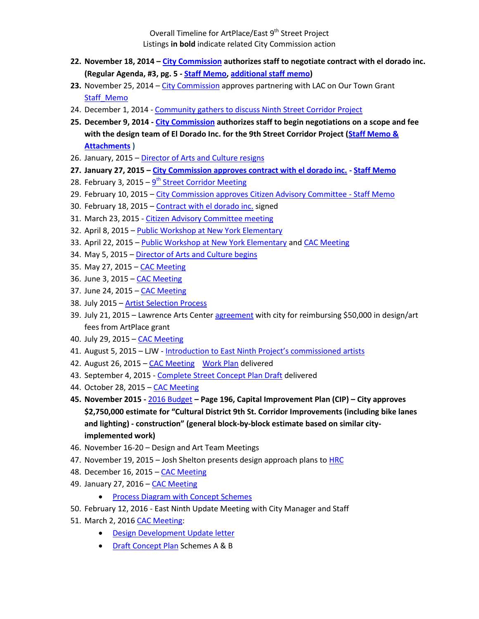Overall Timeline for ArtPlace/East 9<sup>th</sup> Street Project Listings **in bold** indicate related City Commission action

- **22. November 18, 2014 – [City Commission](http://lawrenceks.org/assets/agendas/cc/2014/12-16-14/cc_minutes_111814.pdf) authorizes staff to negotiate contract with el dorado inc. (Regular Agenda, #3, pg. 5 - [Staff Memo,](http://lawrenceks.org/assets/agendas/cc/2014/11-18-14/Memo_9th_St_Corridor_Recommendation.html) [additional staff memo\)](http://lawrenceks.org/assets/agendas/cc/2014/11-18-14/Memo_9th_St_Grant_Application.html)**
- **23.** November 25, 2014 [City Commission](https://www.lawrenceks.org/assets/agendas/cc/2014/12-16-14/cc_minutes_112514.pdf) approves partnering with LAC on Our Town Grant Staff Memo
- 24. December 1, 2014 [Community gathers to discuss Ninth Street Corridor Project](http://www.6newslawrence.com/news/local-news/12972-community-gathers-to-discuss-9th-street-corridor-project)
- **25. December 9, 2014 - [City Commission](http://lawrenceks.org/assets/agendas/cc/2015/01-13-15/cc_minutes_120914.pdf) authorizes staff to begin negotiations on a scope and fee with the design team of El Dorado Inc. for the 9th Street Corridor Project [\(Staff Memo &](http://lawrenceks.org/assets/agendas/cc/2014/12-09-14/Memo_9th_St_Corridor_Recommendation_2.html)  [Attachments](http://lawrenceks.org/assets/agendas/cc/2014/12-09-14/Memo_9th_St_Corridor_Recommendation_2.html) )**
- 26. January, 2015 [Director of Arts and Culture resigns](http://www2.ljworld.com/news/2014/dec/30/new-arts-and-culture-director-leaving-lawrence-aft/)
- **27. January 27, 2015 – [City Commission approves contract with el dorado inc.](http://lawrenceks.org/assets/agendas/cc/2015/01-27-15/cc_minutes_012715.pdf) - [Staff Memo](http://lawrenceks.org/assets/agendas/cc/2015/01-27-15/eldorado_contract_staff_memo.html)**
- 28. February 3, 2015 9<sup>th</sup> [Street Corridor Meeting](http://lawrenceks.org/assets/documents/9th-st-corridor/meeting-notes/02-03-15.pdf)
- 29. February 10, 2015 [City Commission approves Citizen Advisory Committee](http://lawrenceks.org/assets/agendas/cc/2015/02-10-15/cc_minutes_021015.pdf) [Staff Memo](http://lawrenceks.org/assets/agendas/cc/2015/02-10-15/citizen_advisory_committee_staff_memo.html)
- 30. February 18, 2015 [Contract with el dorado inc.](http://lawrenceks.org/assets/documents/9th-st-corridor/EngineeringServices%20Agreementrevised-2%20JS%20signed.pdf) signed
- 31. March 23, 2015 [Citizen Advisory Committee meeting](http://lawrenceks.org/assets/documents/9th-st-corridor/March23-2015-MeetingNotes.pdf)
- 32. April 8, 2015 [Public Workshop at New York Elementary](https://www.facebook.com/lawrenceartscenter/posts/948519895167066)
- 33. April 22, 2015 [Public Workshop at New York Elementary](https://www.facebook.com/lawrenceartscenter/posts/948519895167066) an[d CAC Meeting](http://lawrenceks.org/assets/documents/9th-st-corridor/04-22-15_mtg_notes.pdf)
- 34. May 5, 2015 [Director of Arts and Culture begins](http://lawrenceks.org/lists/archive.php?x=6517)
- 35. May 27, 2015 [CAC Meeting](http://lawrenceks.org/assets/documents/9th-st-corridor/052715CACMeetingNotes.pdf)
- 36. June 3, 2015 [CAC Meeting](http://lawrenceks.org/assets/documents/9th-st-corridor/06-03-15_mtg_notes.pdf)
- 37. June 24, 2015 [CAC Meeting](http://lawrenceks.org/assets/documents/9th-st-corridor/6-24-15-mtg-notes)
- 38. July 2015 [Artist Selection Process](http://lawrenceks.org/assets/documents/9th-st-corridor/East-Ninth-Artist-Selection-Summary.pdf)
- 39. July 21, 2015 Lawrence Arts Center [agreement](http://lawrenceks.org/assets/documents/9th-st-corridor/e_9_arts_center_agmt) with city for reimbursing \$50,000 in design/art fees from ArtPlace grant
- 40. July 29, 2015 [CAC Meeting](http://lawrenceks.org/assets/documents/9th-st-corridor/07-29-15_CACnotes)
- 41. August 5, 2015 LJW [Introduction to East Ninth Project's commissioned](introduction%20to%20East%20Ninth%20Project’s%20commissioned%20artists) artists
- 42. August 26, 2015 [CAC Meeting](http://lawrenceks.org/assets/artsandculture/east-ninth/8_26_15_CACnotes) [Work Plan](http://lawrenceks.org/assets/documents/9th-st-corridor/workplan_print_08-27-15) delivered
- 43. September 4, 2015 [Complete Street Concept Plan](http://lawrenceks.org/assets/documents/9th-st-corridor/CompleteStreetConceptPlanDraft_print) Draft delivered
- 44. October 28, 2015 [CAC Meeting](http://lawrenceks.org/assets/documents/9th-st-corridor/CACNotes_Oct.2015)
- **45. November 2015 -** [2016 Budget](https://www.lawrenceks.org/assets/budget/2016/2016_recommended_budget.pdf) **– Page 196, Capital Improvement Plan (CIP) – City approves \$2,750,000 estimate for "Cultural District 9th St. Corridor Improvements (including bike lanes and lighting) - construction" (general block-by-block estimate based on similar cityimplemented work)**
- 46. November 16-20 Design and Art Team Meetings
- 47. November 19, 2015 Josh Shelton presents design approach plans t[o HRC](https://www.lawrenceks.org/assets/pds/planning/hrc/hrcminNov15.pdf)
- 48. December 16, 2015 [CAC Meeting](http://lawrenceks.org/assets/documents/9th-st-corridor/CACNotes_12.16.15)
- 49. January 27, 2016 [CAC Meeting](http://lawrenceks.org/assets/documents/9th-st-corridor/CACNotes_01.27.16)
	- [Process Diagram with Concept Schemes](http://lawrenceks.org/assets/artsandculture/east-ninth/CAC_ProgressDraft_1.27.16)
- 50. February 12, 2016 East Ninth Update Meeting with City Manager and Staff
- 51. March 2, 2016 [CAC Meeting:](http://lawrenceks.org/assets/documents/9th-st-corridor/CACNotes_March30.2016)
	- [Design Development Update letter](http://lawrenceks.org/assets/documents/9th-st-corridor/March3DesignDevelopmentUpdate)
	- [Draft Concept Plan](http://lawrenceks.org/assets/documents/9th-st-corridor/03.02.16CACPresentation_print.pdf) Schemes A & B